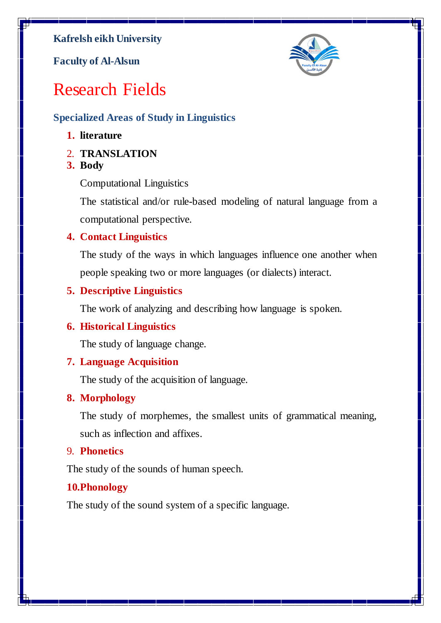**Kafrelsh eikh University**

**Faculty of Al-Alsun**



# Research Fields

# **Specialized Areas of Study in Linguistics**

## **1. literature**

- 2. **TRANSLATION**
- **3. Body**

Computational Linguistics

The statistical and/or rule-based modeling of natural language from a computational perspective.

## **4. Contact Linguistics**

The study of the ways in which languages influence one another when people speaking two or more languages (or dialects) interact.

# **5. Descriptive Linguistics**

The work of analyzing and describing how language is spoken.

# **6. Historical Linguistics**

The study of language change.

## **7. Language Acquisition**

The study of the acquisition of language.

## **8. Morphology**

The study of morphemes, the smallest units of grammatical meaning, such as inflection and affixes.

## 9. **Phonetics**

The study of the sounds of human speech.

# **10.Phonology**

The study of the sound system of a specific language.